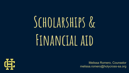# **Scholarships & Financial aid**



Melissa Romero, Counselor melissa.romero@holycross-sa.org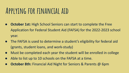#### **Applying for financial aid**

- **October 1st:** High School Seniors can start to complete the Free Application for Federal Student Aid (FAFSA) for the 2022-2023 school year.
- The FAFSA is used to determine a student's eligibility for federal aid (grants, student loans, and work-study)
- Must be completed each year the student will be enrolled in college
- Able to list up to 10 schools on the FAFSA at a time.
- **October 8th:** Financial Aid Night for Seniors & Parents @ 6pm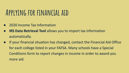#### **Applying for financial aid**

- 2020 Income Tax Information
- **IRS Data Retrieval Tool** allows you to import tax information automatically.
- If your financial situation has changed, contact the Financial Aid Office for each college listed in your FAFSA. Many schools have a Special Conditions form to report changes in income in order to award you more aid.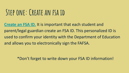### **Step one: Create an fsa id**

**[Create an FSA ID.](https://fsaid.ed.gov/npas/index.htm)** It is important that each student and parent/legal guardian create an FSA ID. This personalized ID is used to confirm your identity with the Department of Education and allows you to electronically sign the FAFSA.

\*Don't forget to write down your FSA ID information!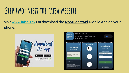#### **Step two: visit the fafsa website**

#### Visit [www.fafsa.gov](http://www.fafsa.gov) **OR** download the MyStudentAid Mobile App on your phone.



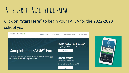### **Step three: Start your fafsa!**

#### Click on "**Start Here**" to begin your FAFSA for the 2022-2023 school year.



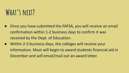### **What's next?**

- Once you have submitted the FAFSA, you will receive an email confirmation within 1-2 business days to confirm it was received by the Dept. of Education.
- Within 2-3 business days, the colleges will receive your information. Most will begin to award students financial aid in December and will email/mail out an award letter.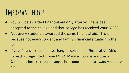#### **Important notes**

- You will be awarded financial aid **only** after you have been accepted to the college and that college has received your FAFSA.
- Not every student is awarded the same financial aid. This is because not every student and family's financial situation is the same.
- If your financial situation has changed, contact the Financial Aid Office for each college listed in your FAFSA. Many schools have a Special Conditions form to report changes in income in order to award you more aid.